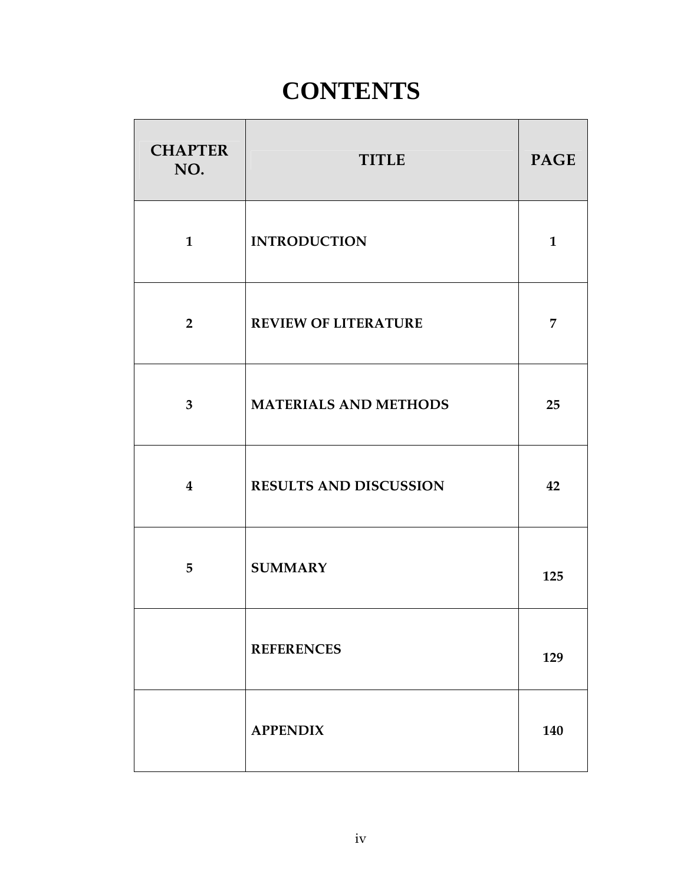## **CONTENTS**

| <b>CHAPTER</b><br>NO.   | <b>TITLE</b>                  | <b>PAGE</b>  |
|-------------------------|-------------------------------|--------------|
| $\mathbf{1}$            | <b>INTRODUCTION</b>           | $\mathbf{1}$ |
| $\overline{2}$          | <b>REVIEW OF LITERATURE</b>   | 7            |
| $\overline{3}$          | <b>MATERIALS AND METHODS</b>  | 25           |
| $\overline{\mathbf{4}}$ | <b>RESULTS AND DISCUSSION</b> | 42           |
| 5                       | <b>SUMMARY</b>                | 125          |
|                         | <b>REFERENCES</b>             | 129          |
|                         | <b>APPENDIX</b>               | 140          |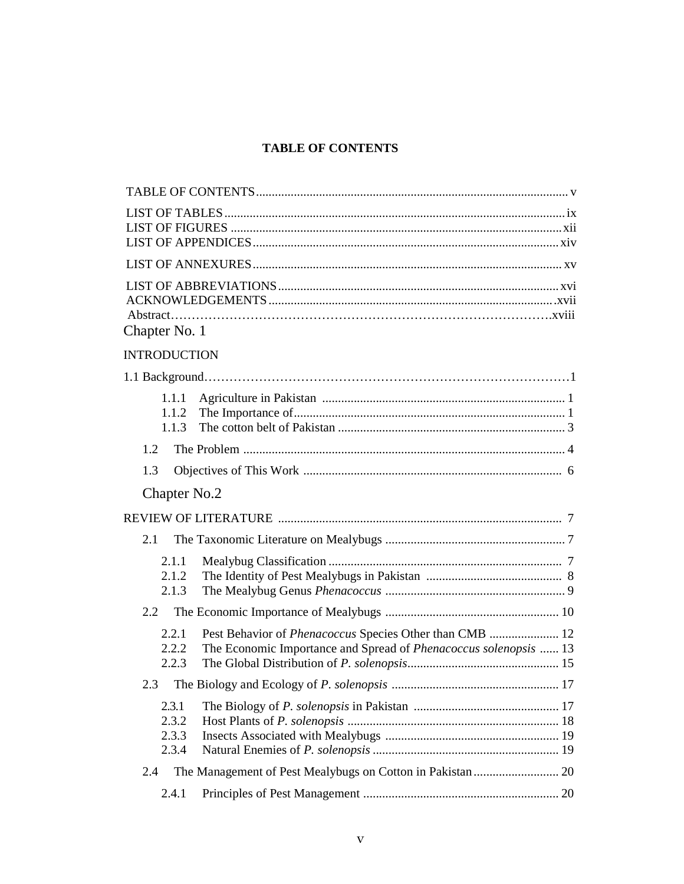## **TABLE OF CONTENTS**

| Chapter No. 1                                                                                                                                          |
|--------------------------------------------------------------------------------------------------------------------------------------------------------|
| <b>INTRODUCTION</b>                                                                                                                                    |
|                                                                                                                                                        |
| 1.1.1<br>1.1.2<br>1.1.3                                                                                                                                |
| 1.2                                                                                                                                                    |
| 1.3                                                                                                                                                    |
| Chapter No.2                                                                                                                                           |
|                                                                                                                                                        |
| 2.1                                                                                                                                                    |
| 2.1.1<br>2.1.2<br>2.1.3                                                                                                                                |
| $2.2^{\circ}$                                                                                                                                          |
| 2.2.1<br>Pest Behavior of Phenacoccus Species Other than CMB  12<br>2.2.2<br>The Economic Importance and Spread of Phenacoccus solenopsis  13<br>2.2.3 |
| 2.3                                                                                                                                                    |
| 2.3.1<br>2.3.2<br>2.3.3<br>2.3.4                                                                                                                       |
| 2.4                                                                                                                                                    |
| 2.4.1                                                                                                                                                  |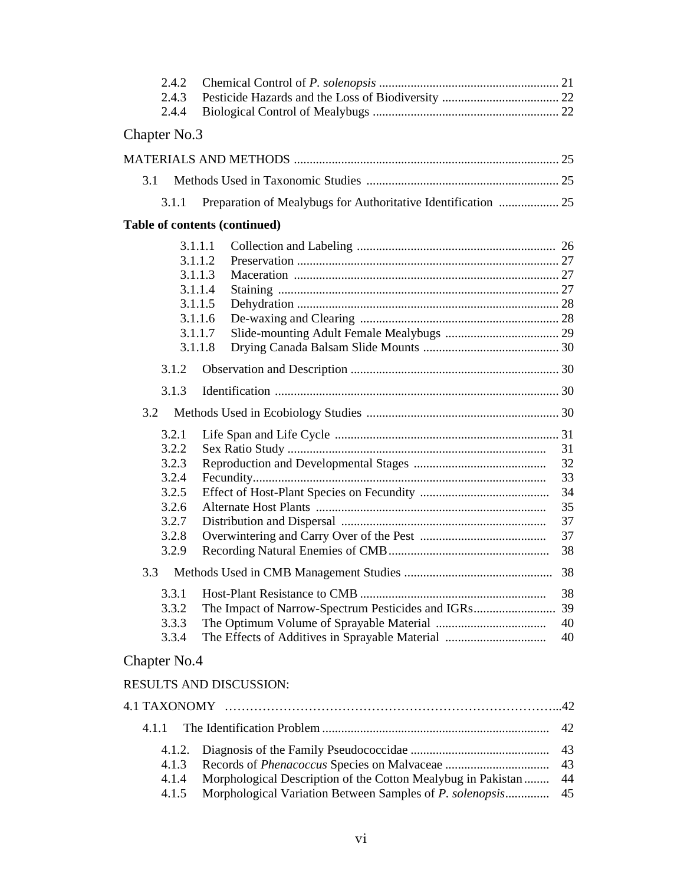| 2.4.2<br>2.4.3<br>2.4.4                                                       |                                                                                                                          |                                                    |
|-------------------------------------------------------------------------------|--------------------------------------------------------------------------------------------------------------------------|----------------------------------------------------|
| Chapter No.3                                                                  |                                                                                                                          |                                                    |
|                                                                               |                                                                                                                          |                                                    |
| 3.1                                                                           |                                                                                                                          |                                                    |
| 3.1.1                                                                         | Preparation of Mealybugs for Authoritative Identification  25                                                            |                                                    |
|                                                                               | Table of contents (continued)                                                                                            |                                                    |
|                                                                               | 3.1.1.1<br>3.1.1.2<br>3.1.1.3<br>3.1.1.4<br>3.1.1.5<br>3.1.1.6<br>3.1.1.7                                                |                                                    |
|                                                                               | 3.1.1.8                                                                                                                  |                                                    |
| 3.1.2                                                                         |                                                                                                                          |                                                    |
| 3.1.3                                                                         |                                                                                                                          |                                                    |
| 3.2                                                                           |                                                                                                                          |                                                    |
| 3.2.1<br>3.2.2<br>3.2.3<br>3.2.4<br>3.2.5<br>3.2.6<br>3.2.7<br>3.2.8<br>3.2.9 |                                                                                                                          | 31<br>32<br>33<br>34<br>35<br>37<br>37<br>38<br>38 |
| 3.3.1<br>3.3.2                                                                |                                                                                                                          | 38                                                 |
| 3.3.3<br>3.3.4                                                                |                                                                                                                          | 40<br>40                                           |
| Chapter No.4                                                                  |                                                                                                                          |                                                    |
|                                                                               | <b>RESULTS AND DISCUSSION:</b>                                                                                           |                                                    |
|                                                                               |                                                                                                                          |                                                    |
| 4.1.1                                                                         |                                                                                                                          | 42                                                 |
| 4.1.2.<br>4.1.3<br>4.1.4<br>4.1.5                                             | Morphological Description of the Cotton Mealybug in Pakistan<br>Morphological Variation Between Samples of P. solenopsis | 43<br>43<br>44<br>45                               |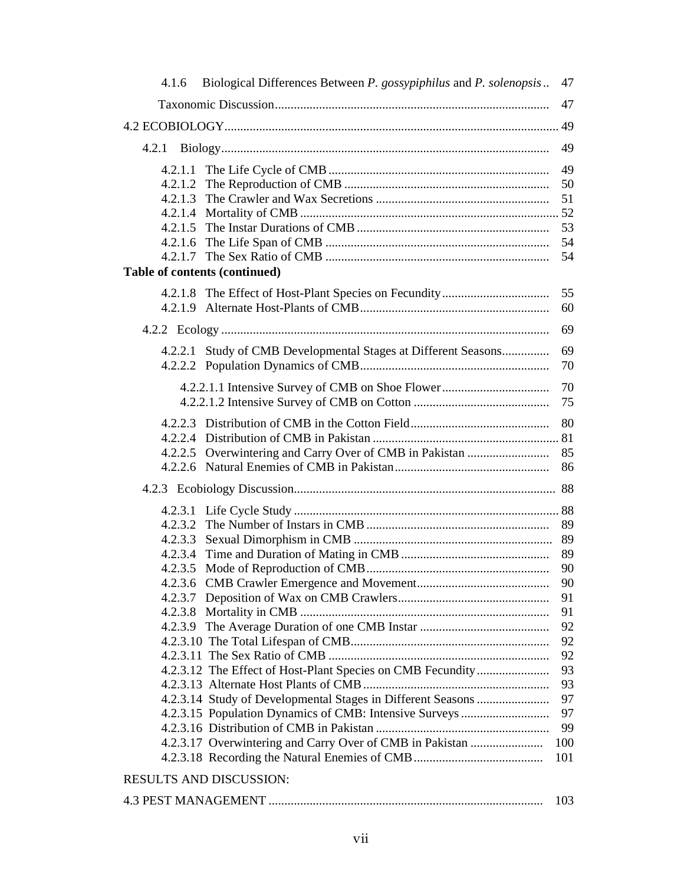| 4.1.6                          | Biological Differences Between P. gossypiphilus and P. solenopsis                                                     | 47       |
|--------------------------------|-----------------------------------------------------------------------------------------------------------------------|----------|
|                                |                                                                                                                       | 47       |
|                                |                                                                                                                       | 49       |
|                                |                                                                                                                       | 49       |
| 4.2.1.1                        |                                                                                                                       | 49       |
| 4.2.1.2                        |                                                                                                                       | 50       |
| 4.2.1.3                        |                                                                                                                       | 51       |
|                                |                                                                                                                       |          |
|                                |                                                                                                                       | 53       |
|                                |                                                                                                                       | 54       |
|                                |                                                                                                                       | 54       |
| Table of contents (continued)  |                                                                                                                       |          |
|                                |                                                                                                                       | 55       |
|                                |                                                                                                                       | 60       |
|                                |                                                                                                                       | 69       |
|                                |                                                                                                                       |          |
|                                | 4.2.2.1 Study of CMB Developmental Stages at Different Seasons                                                        | 69       |
|                                |                                                                                                                       | 70       |
|                                |                                                                                                                       | 70       |
|                                |                                                                                                                       | 75       |
|                                |                                                                                                                       | 80       |
|                                |                                                                                                                       |          |
| 4.2.2.5                        |                                                                                                                       | 85       |
|                                |                                                                                                                       | 86       |
|                                |                                                                                                                       |          |
|                                |                                                                                                                       |          |
| 4.2.3.2                        |                                                                                                                       | 89       |
| 4.2.3.3                        |                                                                                                                       | 89       |
| 4.2.3.4                        |                                                                                                                       | 89       |
| 4.2.3.5                        |                                                                                                                       | 90       |
|                                |                                                                                                                       | 90       |
|                                |                                                                                                                       | 91       |
|                                |                                                                                                                       | 91       |
|                                |                                                                                                                       | 92       |
|                                |                                                                                                                       | 92       |
|                                |                                                                                                                       | 92       |
|                                | 4.2.3.12 The Effect of Host-Plant Species on CMB Fecundity                                                            | 93       |
|                                |                                                                                                                       | 93<br>97 |
|                                | 4.2.3.14 Study of Developmental Stages in Different Seasons<br>4.2.3.15 Population Dynamics of CMB: Intensive Surveys | 97       |
|                                |                                                                                                                       | 99       |
|                                | 4.2.3.17 Overwintering and Carry Over of CMB in Pakistan                                                              | 100      |
|                                |                                                                                                                       | 101      |
| <b>RESULTS AND DISCUSSION:</b> |                                                                                                                       |          |
|                                |                                                                                                                       |          |
|                                |                                                                                                                       | 103      |